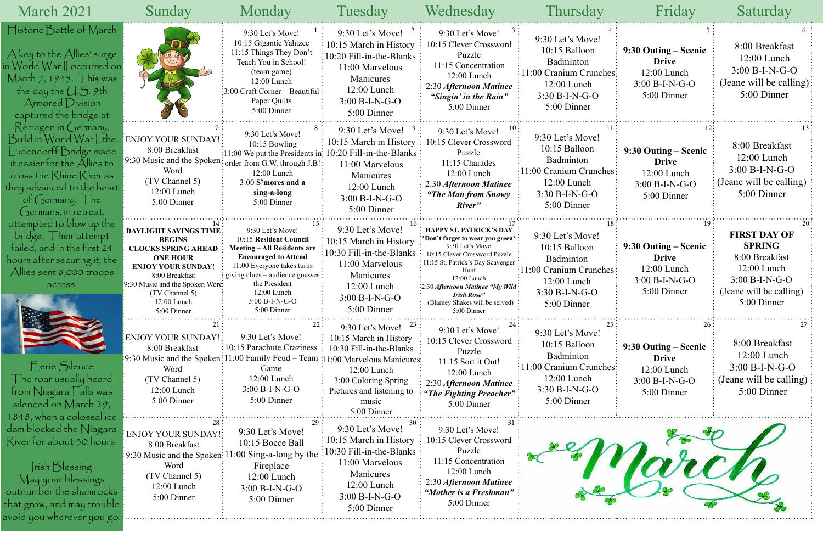|                | Friday                                                                                   | Saturday                                                                                      |  |  |  |
|----------------|------------------------------------------------------------------------------------------|-----------------------------------------------------------------------------------------------|--|--|--|
| $\overline{4}$ | 5                                                                                        | 6                                                                                             |  |  |  |
| hes            | 9:30 Outing – Scenic<br><b>Drive</b><br>12:00 Lunch<br>$3:00 B-I-N-G-O$<br>5:00 Dinner   | 8:00 Breakfast<br>12:00 Lunch<br>$3:00 B-I-N-G-O$<br>(Jeane will be calling)<br>5:00 Dinner   |  |  |  |
| 11             | 12:                                                                                      | 13                                                                                            |  |  |  |
| ess            | 9:30 Outing – Scenic<br><b>Drive</b><br>12:00 Lunch<br>$3:00 B-I-N-G-O$<br>5:00 Dinner   | 8:00 Breakfast<br>12:00 Lunch<br>$3:00 B-I-N-G-O$<br>(Jeane will be calling)<br>5:00 Dinner   |  |  |  |
| 18             | 19                                                                                       | 20                                                                                            |  |  |  |
| ies            | 9:30 Outing – Scenic<br><b>Drive</b><br>12:00 Lunch<br>3:00 B-I-N-G-O<br>5:00 Dinner     | <b>FIRST DAY OF</b><br><b>SPRING</b><br>8:00 Breakfast<br>12:00 Lunch<br>$3:00 B-I-N-G-O$     |  |  |  |
|                |                                                                                          | (Jeane will be calling)<br>5:00 Dinner                                                        |  |  |  |
| 25             | 26                                                                                       | 27                                                                                            |  |  |  |
| hes            | 9:30 Outing – Scenic<br><b>Drive</b><br>$12:00$ Lunch<br>$3:00 B-I-N-G-O$<br>5:00 Dinner | 8:00 Breakfast<br>$12:00$ Lunch<br>$3:00 B-I-N-G-O$<br>(Jeane will be calling)<br>5:00 Dinner |  |  |  |



| March 2021                                                                                                                                                                                                                                            | Sunday                                                                                                                                                                                                                             | Monday                                                                                                                                                                                                                                                                          | Tuesday                                                                                                                                                              | Wednesday                                                                                                                                                                                                                                                                                | <b>Thursday</b>                                                                                                                                     | Friday                                                                                   | Saturday                                                                                                                            |
|-------------------------------------------------------------------------------------------------------------------------------------------------------------------------------------------------------------------------------------------------------|------------------------------------------------------------------------------------------------------------------------------------------------------------------------------------------------------------------------------------|---------------------------------------------------------------------------------------------------------------------------------------------------------------------------------------------------------------------------------------------------------------------------------|----------------------------------------------------------------------------------------------------------------------------------------------------------------------|------------------------------------------------------------------------------------------------------------------------------------------------------------------------------------------------------------------------------------------------------------------------------------------|-----------------------------------------------------------------------------------------------------------------------------------------------------|------------------------------------------------------------------------------------------|-------------------------------------------------------------------------------------------------------------------------------------|
| Historic Battle of March<br>$\bigwedge$ key to the $\bigwedge$ llies' surge<br>n World War    occurred on:<br>March 7, 1945. $\top$ his was<br>the day the $\bigcup .S.$ 9th<br>Armored Division<br>captured the bridge at                            |                                                                                                                                                                                                                                    | 9:30 Let's Move!<br>10:15 Gigantic Yahtzee<br>11:15 Things They Don't<br>Teach You in School!<br>(team game)<br>$12:00$ Lunch<br>$\frac{1}{2}$ :00 Craft Corner – Beautiful<br>Paper Quilts<br>5:00 Dinner                                                                      | 9:30 Let's Move! $^2$<br>10:15 March in History<br>$10:20$ Fill-in-the-Blanks:<br>11:00 Marvelous<br>Manicures<br>$12:00$ Lunch<br>$3:00 B-I-N-G-O$<br>5:00 Dinner   | 9:30 Let's Move!<br>10:15 Clever Crossword<br>Puzzle<br>11:15 Concentration<br>$12:00$ Lunch<br>2:30 Afternoon Matinee<br>"Singin' in the Rain"<br>5:00 Dinner                                                                                                                           | 9:30 Let's Move!<br>10:15 Balloon<br>Badminton<br>11:00 Cranium Crunches:<br>$12:00$ Lunch<br>$3:30 B-I-N-G-O$<br>5:00 Dinner                       | 9:30 Outing – Scenic<br><b>Drive</b><br>12:00 Lunch<br>$3:00 B-I-N-G-O$<br>5:00 Dinner   | 8:00 Breakfast<br>12:00 Lunch<br>$3:00 B-I-N-G-O$<br>(Jeane will be calling)<br>5:00 Dinner                                         |
| Remagen in Germany.<br>Build in World War I, the<br>udendorff Bridge made<br>it easier for the $\bigtriangleup$ llies to<br>cross the Rhine River as<br>they advanced to the heart $\frac{1}{2}$<br>of Germany. $\vert$ he<br>$C$ ermans, in retreat, | ENJOY YOUR SUNDAY!<br>8:00 Breakfast<br>:9:30 Music and the Spoken<br>Word<br>(TV Channel 5)<br>$12:00$ Lunch<br>5:00 Dinner                                                                                                       | 9:30 Let's Move!<br>$10:15$ Bowling<br>:11:00 We put the Presidents in: 10:20 Fill-in-the-Blanks :<br>order from G.W. through J.B!<br>12:00 Lunch<br>3:00 S'mores and a<br>sing-a-long<br>5:00 Dinner                                                                           | 9:30 Let's Move!<br>10:15 March in History<br>11:00 Marvelous<br>Manicures<br>12:00 Lunch<br>$3:00 B-I-N-G-O$<br>5:00 Dinner                                         | 9:30 Let's Move!<br>10:15 Clever Crossword<br>Puzzle<br>11:15 Charades<br>$12:00$ Lunch<br>2:30 Afternoon Matinee<br>"The Man from Snowy"<br>River"                                                                                                                                      | 9:30 Let's Move!<br>10:15 Balloon<br>Badminton<br>$\left\{11:00 \text{ Cranium Crunches}\right\}$<br>12:00 Lunch<br>$3:30 B-I-N-G-O$<br>5:00 Dinner | 9:30 Outing – Scenic<br><b>Drive</b><br>$12:00$ Lunch<br>$3:00 B-I-N-G-O$<br>5:00 Dinner | 8:00 Breakfast<br>$12:00$ Lunch<br>$3:00 B-I-N-G-O$<br>(Jeane will be calling)<br>5:00 Dinner                                       |
| attempted to blow up the<br>bridge. Their attempt<br>failed, and in the first 24<br>hours after securing it, the<br>Allies sent $8,000$ troops<br>across.                                                                                             | <b>DAYLIGHT SAVINGS TIME</b><br><b>BEGINS</b><br><b>CLOCKS SPRING AHEAD</b><br><b>ONE HOUR</b><br><b>ENJOY YOUR SUNDAY!</b><br>8:00 Breakfast<br>19:30 Music and the Spoken Word<br>(TV Channel 5)<br>$12:00$ Lunch<br>5:00 Dinner | 9:30 Let's Move!<br>10:15 Resident Council<br><b>Meeting – All Residents are</b><br><b>Encouraged to Attend</b><br>11:00 Everyone takes turns<br>$\frac{1}{2}$ giving clues – audience guesses $\frac{1}{2}$<br>the President<br>12:00 Lunch<br>$3:00 B-I-N-G-O$<br>5:00 Dinner | 9:30 Let's Move!<br>10:15 March in History<br>10:30 Fill-in-the-Blanks<br>11:00 Marvelous<br>Manicures<br>12:00 Lunch<br>$3:00 B-I-N-G-O$<br>5:00 Dinner             | HAPPY ST. PATRICK'S DAY<br>*Don't forget to wear you green*<br>9:30 Let's Move!<br>10:15 Clever Crossword Puzzle<br>11:15 St. Patrick's Day Scavenger<br>Hunt<br>12:00 Lunch<br>:2:30 Afternoon Matinee "My Wild<br><b>Irish Rose"</b><br>(Blarney Shakes will be served)<br>5:00 Dinner | 9:30 Let's Move!<br>10:15 Balloon<br>Badminton<br>$\frac{11:00}{2}$ Cranium Crunches<br>$12:00$ Lunch<br>$3:30 B-I-N-G-O$<br>5:00 Dinner            | 9:30 Outing – Scenic<br><b>Drive</b><br>$12:00$ Lunch<br>$3:00 B-I-N-G-O$<br>5:00 Dinner | <b>FIRST DAY OF</b><br><b>SPRING</b><br>8:00 Breakfast<br>12:00 Lunch<br>$3:00 B-I-N-G-O$<br>(Jeane will be calling)<br>5:00 Dinner |
| Eerie Silence<br>The roar usually heard $\overline{ }$<br>from Niagara $\overline{\Gamma}$ alls was<br>silenced on March 29,<br>1848, when a colossal ice                                                                                             | <b>ENJOY YOUR SUNDAY!</b><br>8:00 Breakfast<br>Word<br>(TV Channel 5)<br>12:00 Lunch<br>5:00 Dinner                                                                                                                                | 9:30 Let's Move!<br>10:15 Parachute Craziness :<br>9:30 Music and the Spoken: 11:00 Family Feud - Team : 11:00 Marvelous Manicures<br>Game<br>12:00 Lunch<br>$3:00 B-I-N-G-O$<br>5:00 Dinner                                                                                    | 9:30 Let's Move!<br>10:15 March in History<br>10:30 Fill-in-the-Blanks<br>$12:00$ Lunch<br>3:00 Coloring Spring<br>Pictures and listening to<br>music<br>5:00 Dinner | 9:30 Let's Move!<br>10:15 Clever Crossword<br>Puzzle<br>11:15 Sort it Out!<br>12:00 Lunch<br>2:30 Afternoon Matinee<br>"The Fighting Preacher"<br>5:00 Dinner                                                                                                                            | 9:30 Let's Move!<br>10:15 Balloon<br>Badminton<br>11:00 Cranium Crunches:<br>$12:00$ Lunch<br>$3:30 B-I-N-G-O$<br>5:00 Dinner                       | 9:30 Outing – Scenic<br><b>Drive</b><br>12:00 Lunch<br>$3:00 B-I-N-G-O$<br>5:00 Dinner   | 8:00 Breakfast<br>12:00 Lunch<br>$3:00 B-I-N-G-O$<br>(Jeane will be calling)<br>5:00 Dinner                                         |
| dam blocked the Niagara<br>River for about 30 hours.<br>rish Blessing<br>May your blessings<br>outnumber the shamrocks<br>that grow, and may trouble:<br>avoid you wherever you go                                                                    | <b>ENJOY YOUR SUNDAY!</b><br>8:00 Breakfast<br>$\frac{1}{2}$ 9:30 Music and the Spoken: 11:00 Sing-a-long by the<br>Word<br>(TV Channel 5)<br>12:00 Lunch<br>5:00 Dinner                                                           | 9:30 Let's Move!<br>10:15 Bocce Ball<br>Fireplace<br>$12:00$ Lunch<br>$3:00 B-I-N-G-O$<br>5:00 Dinner                                                                                                                                                                           | 9:30 Let's Move!<br>10:15 March in History<br>10:30 Fill-in-the-Blanks :<br>11:00 Marvelous<br>Manicures<br>12:00 Lunch<br>$3:00 B-I-N-G-O$<br>5:00 Dinner           | 9:30 Let's Move!<br>10:15 Clever Crossword<br>Puzzle<br>11:15 Concentration<br>12:00 Lunch<br>2:30 Afternoon Matinee<br>"Mother is a Freshman"<br>5:00 Dinner                                                                                                                            |                                                                                                                                                     |                                                                                          |                                                                                                                                     |